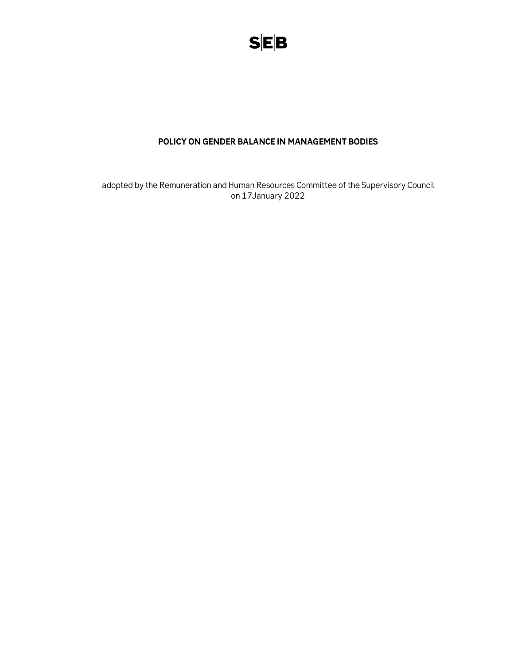

## POLICY ON GENDER BALANCE IN MANAGEMENT BODIES

adopted by the Remuneration and Human Resources Committee of the Supervisory Council on 17January 2022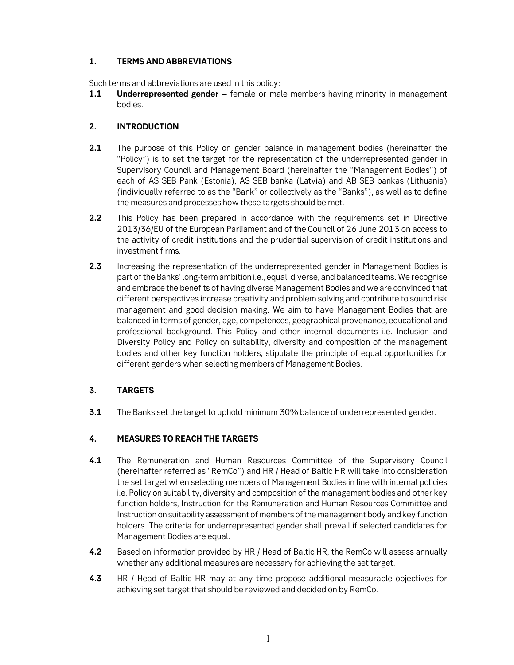### 1. TERMS AND ABBREVIATIONS

Such terms and abbreviations are used in this policy:

**1.1** Underrepresented gender – female or male members having minority in management bodies.

# 2. INTRODUCTION

- 2.1 The purpose of this Policy on gender balance in management bodies (hereinafter the "Policy") is to set the target for the representation of the underrepresented gender in Supervisory Council and Management Board (hereinafter the "Management Bodies") of each of AS SEB Pank (Estonia), AS SEB banka (Latvia) and AB SEB bankas (Lithuania) (individually referred to as the "Bank" or collectively as the "Banks"), as well as to define the measures and processes how these targets should be met.
- 2.2 This Policy has been prepared in accordance with the requirements set in Directive 2013/36/EU of the European Parliament and of the Council of 26 June 2013 on access to the activity of credit institutions and the prudential supervision of credit institutions and investment firms.
- **2.3** Increasing the representation of the underrepresented gender in Management Bodies is part of the Banks' long-term ambition i.e., equal, diverse, and balanced teams. We recognise and embrace the benefits of having diverse Management Bodies and we are convinced that different perspectives increase creativity and problem solving and contribute to sound risk management and good decision making. We aim to have Management Bodies that are balanced in terms of gender, age, competences, geographical provenance, educational and professional background. This Policy and other internal documents i.e. Inclusion and Diversity Policy and Policy on suitability, diversity and composition of the management bodies and other key function holders, stipulate the principle of equal opportunities for different genders when selecting members of Management Bodies.

# 3. TARGETS

**3.1** The Banks set the target to uphold minimum 30% balance of underrepresented gender.

## 4. MEASURES TO REACH THE TARGETS

- 4.1 The Remuneration and Human Resources Committee of the Supervisory Council (hereinafter referred as "RemCo") and HR / Head of Baltic HR will take into consideration the set target when selecting members of Management Bodies in line with internal policies i.e. Policy on suitability, diversity and composition of the management bodies and other key function holders, Instruction for the Remuneration and Human Resources Committee and Instruction on suitability assessment of members of the management body and key function holders. The criteria for underrepresented gender shall prevail if selected candidates for Management Bodies are equal.
- 4.2 Based on information provided by HR / Head of Baltic HR, the RemCo will assess annually whether any additional measures are necessary for achieving the set target.
- 4.3 HR / Head of Baltic HR may at any time propose additional measurable objectives for achieving set target that should be reviewed and decided on by RemCo.